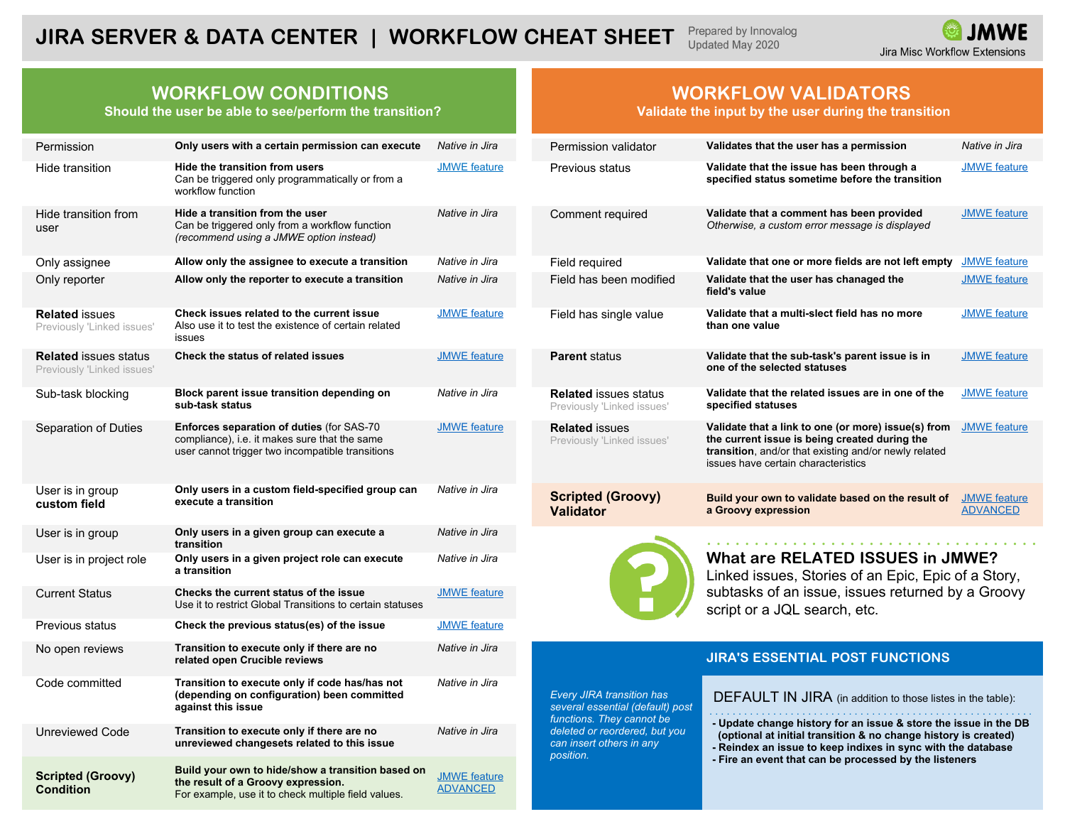#### Prepared by Innovalog **JIRA SERVER & DATA CENTER | WORKFLOW CHEAT SHEET**  Updated May 2020

## **WORKFLOW CONDITIONS**

**Should the user be able to see/perform the transition?**

| Permission                                                 | Only users with a certain permission can execute                                                                                                       | Native in Jira                         | Permission validator                                                                              | Validates that the user has a permission                                                                                                                                                                                                                      | Native in Jira                         |
|------------------------------------------------------------|--------------------------------------------------------------------------------------------------------------------------------------------------------|----------------------------------------|---------------------------------------------------------------------------------------------------|---------------------------------------------------------------------------------------------------------------------------------------------------------------------------------------------------------------------------------------------------------------|----------------------------------------|
| Hide transition                                            | Hide the transition from users<br>Can be triggered only programmatically or from a<br>workflow function                                                | <b>JMWE</b> feature                    | Previous status                                                                                   | Validate that the issue has been through a<br>specified status sometime before the transition                                                                                                                                                                 | <b>JMWE</b> feature                    |
| Hide transition from<br>user                               | Hide a transition from the user<br>Can be triggered only from a workflow function<br>(recommend using a JMWE option instead)                           | Native in Jira                         | Comment required                                                                                  | Validate that a comment has been provided<br>Otherwise, a custom error message is displayed                                                                                                                                                                   | <b>JMWE</b> feature                    |
| Only assignee                                              | Allow only the assignee to execute a transition                                                                                                        | Native in Jira                         | Field required                                                                                    | Validate that one or more fields are not left empty                                                                                                                                                                                                           | <b>JMWE</b> feature                    |
| Only reporter                                              | Allow only the reporter to execute a transition                                                                                                        | Native in Jira                         | Field has been modified                                                                           | Validate that the user has chanaged the<br>field's value                                                                                                                                                                                                      | <b>JMWE</b> feature                    |
| <b>Related issues</b><br>Previously 'Linked issues'        | Check issues related to the current issue<br>Also use it to test the existence of certain related<br>issues                                            | <b>JMWE</b> feature                    | Field has single value                                                                            | Validate that a multi-slect field has no more<br>than one value                                                                                                                                                                                               | <b>JMWE</b> feature                    |
| <b>Related</b> issues status<br>Previously 'Linked issues' | Check the status of related issues                                                                                                                     | <b>JMWE</b> feature                    | <b>Parent status</b>                                                                              | Validate that the sub-task's parent issue is in<br>one of the selected statuses                                                                                                                                                                               | <b>JMWE</b> feature                    |
| Sub-task blocking                                          | Block parent issue transition depending on<br>sub-task status                                                                                          | Native in Jira                         | <b>Related issues status</b><br>Previously 'Linked issues'                                        | Validate that the related issues are in one of the<br>specified statuses                                                                                                                                                                                      | <b>JMWE</b> feature                    |
| Separation of Duties                                       | <b>Enforces separation of duties (for SAS-70)</b><br>compliance), i.e. it makes sure that the same<br>user cannot trigger two incompatible transitions | <b>JMWE</b> feature                    | <b>Related issues</b><br>Previously 'Linked issues'                                               | Validate that a link to one (or more) issue(s) from<br>the current issue is being created during the<br>transition, and/or that existing and/or newly related<br>issues have certain characteristics                                                          | <b>JMWE</b> feature                    |
| User is in group<br>custom field                           | Only users in a custom field-specified group can<br>execute a transition                                                                               | Native in Jira                         | <b>Scripted (Groovy)</b><br><b>Validator</b>                                                      | Build your own to validate based on the result of<br>a Groovy expression                                                                                                                                                                                      | <b>JMWE</b> feature<br><b>ADVANCED</b> |
| User is in group                                           | Only users in a given group can execute a<br>transition                                                                                                | Native in Jira                         |                                                                                                   |                                                                                                                                                                                                                                                               |                                        |
| User is in project role                                    | Only users in a given project role can execute<br>a transition                                                                                         | Native in Jira                         |                                                                                                   | <b>What are RELATED ISSUES in JMWE?</b><br>Linked issues, Stories of an Epic, Epic of a Story,                                                                                                                                                                |                                        |
| <b>Current Status</b>                                      | Checks the current status of the issue<br>Use it to restrict Global Transitions to certain statuses                                                    | <b>JMWE</b> feature                    |                                                                                                   | subtasks of an issue, issues returned by a Groovy<br>script or a JQL search, etc.                                                                                                                                                                             |                                        |
| Previous status                                            | Check the previous status(es) of the issue                                                                                                             | <b>JMWE</b> feature                    |                                                                                                   |                                                                                                                                                                                                                                                               |                                        |
| No open reviews                                            | Transition to execute only if there are no<br>related open Crucible reviews                                                                            | Native in Jira                         |                                                                                                   | <b>JIRA'S ESSENTIAL POST FUNCTIONS</b>                                                                                                                                                                                                                        |                                        |
| Code committed                                             | Transition to execute only if code has/has not<br>(depending on configuration) been committed<br>against this issue                                    | Native in Jira                         | <b>Every JIRA transition has</b><br>several essential (default) post<br>functions. They cannot be | DEFAULT IN JIRA (in addition to those listes in the table):                                                                                                                                                                                                   |                                        |
| Unreviewed Code                                            | Transition to execute only if there are no<br>unreviewed changesets related to this issue                                                              | Native in Jira                         | deleted or reordered, but you<br>can insert others in any<br>position.                            | - Update change history for an issue & store the issue in the DI<br>(optional at initial transition & no change history is created)<br>- Reindex an issue to keep indixes in sync with the database<br>- Fire an event that can be processed by the listeners |                                        |
| <b>Scripted (Groovy)</b><br><b>Condition</b>               | Build your own to hide/show a transition based on<br>the result of a Groovy expression.<br>For example, use it to check multiple field values.         | <b>JMWE</b> feature<br><b>ADVANCED</b> |                                                                                                   |                                                                                                                                                                                                                                                               |                                        |

### **WORKFLOW VALIDATORS**

**Validate the input by the user during the transition**

| Permission                                                 | Only users with a certain permission can execute                                                                                                                                                                                   | Native in Jira                                                                                                      | Permission validator                                       | Validates that the user has a permission                                                                                                                                                             | Native in Jira                         |
|------------------------------------------------------------|------------------------------------------------------------------------------------------------------------------------------------------------------------------------------------------------------------------------------------|---------------------------------------------------------------------------------------------------------------------|------------------------------------------------------------|------------------------------------------------------------------------------------------------------------------------------------------------------------------------------------------------------|----------------------------------------|
| Hide transition                                            | Hide the transition from users<br>Can be triggered only programmatically or from a<br>workflow function                                                                                                                            | <b>JMWE</b> feature                                                                                                 | Previous status                                            | Validate that the issue has been through a<br>specified status sometime before the transition                                                                                                        | <b>JMWE</b> feature                    |
| Hide transition from<br>user                               | Hide a transition from the user<br>Can be triggered only from a workflow function<br>(recommend using a JMWE option instead)                                                                                                       | Native in Jira                                                                                                      | Comment required                                           | Validate that a comment has been provided<br>Otherwise, a custom error message is displayed                                                                                                          | <b>JMWE</b> feature                    |
| Only assignee                                              | Allow only the assignee to execute a transition                                                                                                                                                                                    | Native in Jira                                                                                                      | Field required                                             | Validate that one or more fields are not left empty                                                                                                                                                  | <b>JMWE</b> feature                    |
| Only reporter                                              | Allow only the reporter to execute a transition                                                                                                                                                                                    | Native in Jira                                                                                                      | Field has been modified                                    | Validate that the user has chanaged the<br>field's value                                                                                                                                             | <b>JMWE</b> feature                    |
| <b>Related issues</b><br>Previously 'Linked issues'        | Check issues related to the current issue<br>Also use it to test the existence of certain related<br>issues                                                                                                                        | <b>JMWE</b> feature                                                                                                 | Field has single value                                     | Validate that a multi-slect field has no more<br>than one value                                                                                                                                      | <b>JMWE</b> feature                    |
| <b>Related</b> issues status<br>Previously 'Linked issues' | <b>Check the status of related issues</b>                                                                                                                                                                                          | <b>JMWE</b> feature                                                                                                 | <b>Parent status</b>                                       | Validate that the sub-task's parent issue is in<br>one of the selected statuses                                                                                                                      | <b>JMWE</b> feature                    |
| Sub-task blocking                                          | Block parent issue transition depending on<br>sub-task status                                                                                                                                                                      | Native in Jira                                                                                                      | <b>Related issues status</b><br>Previously 'Linked issues' | Validate that the related issues are in one of the<br>specified statuses                                                                                                                             | <b>JMWE</b> feature                    |
| Separation of Duties                                       | <b>Enforces separation of duties (for SAS-70)</b><br>compliance), i.e. it makes sure that the same<br>user cannot trigger two incompatible transitions                                                                             | <b>JMWE</b> feature                                                                                                 | <b>Related issues</b><br>Previously 'Linked issues'        | Validate that a link to one (or more) issue(s) from<br>the current issue is being created during the<br>transition, and/or that existing and/or newly related<br>issues have certain characteristics | <b>JMWE</b> feature                    |
| User is in group<br>custom field                           | Only users in a custom field-specified group can<br>execute a transition                                                                                                                                                           | Native in Jira                                                                                                      | <b>Scripted (Groovy)</b><br><b>Validator</b>               | Build your own to validate based on the result of<br>a Groovy expression                                                                                                                             | <b>JMWE</b> feature<br><b>ADVANCED</b> |
| .                                                          | $\bullet$ . The contract of the contract of the contract of the contract of the contract of the contract of the contract of the contract of the contract of the contract of the contract of the contract of the contract of the co | and the contract of the contract of the contract of the contract of the contract of the contract of the contract of |                                                            |                                                                                                                                                                                                      |                                        |



### **JIRA'S ESSENTIAL POST FUNCTIONS**

#### DEFAULT IN JIRA (in addition to those listes in the table):

- **(optional at initial transition & no change history is created)**
- **Reindex an issue to keep indixes in sync with the database**
- **Fire an event that can be processed by the listeners**